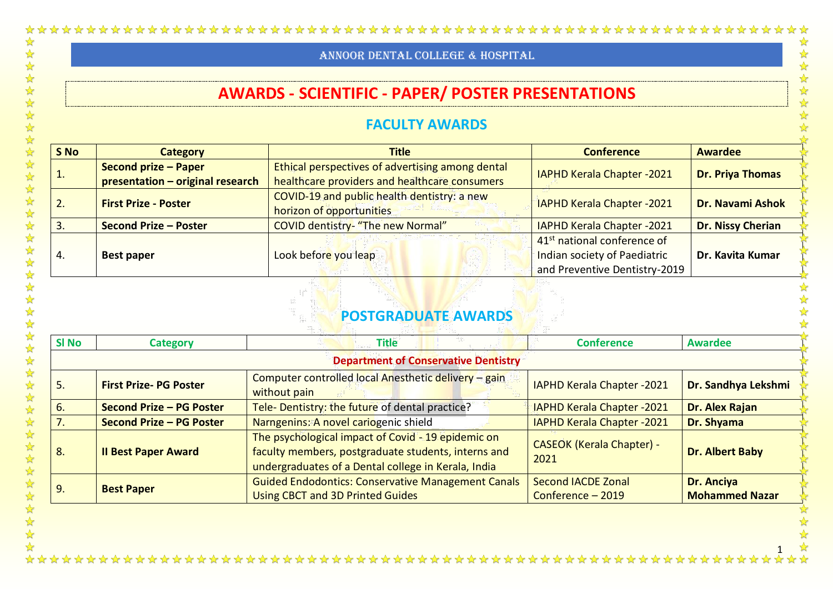# **AWARDS - SCIENTIFIC - PAPER/ POSTER PRESENTATIONS**

### **FACULTY AWARDS**

|                       |                                                                 | <b>AWARDS - SCIENTIFIC - PAPER/ POSTER PRESENTATIONS</b>                                          |                                                                                                          |                         |  |
|-----------------------|-----------------------------------------------------------------|---------------------------------------------------------------------------------------------------|----------------------------------------------------------------------------------------------------------|-------------------------|--|
| <b>FACULTY AWARDS</b> |                                                                 |                                                                                                   |                                                                                                          |                         |  |
| S No                  | <b>Category</b>                                                 | <b>Title</b>                                                                                      | <b>Conference</b>                                                                                        | <b>Awardee</b>          |  |
| 1.                    | <b>Second prize - Paper</b><br>presentation - original research | Ethical perspectives of advertising among dental<br>healthcare providers and healthcare consumers | <b>IAPHD Kerala Chapter -2021</b>                                                                        | <b>Dr. Priya Thomas</b> |  |
| 2.                    | <b>First Prize - Poster</b>                                     | COVID-19 and public health dentistry: a new<br>horizon of opportunities                           | <b>IAPHD Kerala Chapter -2021</b>                                                                        | <b>Dr. Navami Ashok</b> |  |
| 3.                    | <b>Second Prize - Poster</b>                                    | <b>COVID dentistry- "The new Normal"</b>                                                          | <b>IAPHD Kerala Chapter -2021</b>                                                                        | Dr. Nissy Cherian       |  |
|                       | <b>Best paper</b>                                               | Look before you leap                                                                              | 41 <sup>st</sup> national conference of<br>Indian society of Paediatric<br>and Preventive Dentistry-2019 | Dr. Kavita Kumar        |  |

## **POSTGRADUATE AWARDS**

| <b>SI No</b> | <b>Category</b>              | <b>Title</b>                                                                                                                                                     | <b>Conference</b>                              | <b>Awardee</b>                             |
|--------------|------------------------------|------------------------------------------------------------------------------------------------------------------------------------------------------------------|------------------------------------------------|--------------------------------------------|
|              |                              | <b>Department of Conservative Dentistry</b>                                                                                                                      |                                                |                                            |
| .5           | <b>First Prize-PG Poster</b> | Computer controlled local Anesthetic delivery - gain<br>without pain                                                                                             | <b>IAPHD Kerala Chapter -2021</b>              | Dr. Sandhya Lekshmi                        |
| 6.           | Second Prize - PG Poster     | Tele- Dentistry: the future of dental practice?                                                                                                                  | <b>IAPHD Kerala Chapter -2021</b>              | Dr. Alex Rajan                             |
|              | Second Prize - PG Poster     | Narngenins: A novel cariogenic shield                                                                                                                            | <b>IAPHD Kerala Chapter -2021</b>              | Dr. Shyama                                 |
| 8.           | <b>Il Best Paper Award</b>   | The psychological impact of Covid - 19 epidemic on<br>faculty members, postgraduate students, interns and<br>undergraduates of a Dental college in Kerala, India | <b>CASEOK (Kerala Chapter) -</b><br>2021       | Dr. Albert Baby                            |
| 9.           | <b>Best Paper</b>            | <b>Guided Endodontics: Conservative Management Canals</b><br><b>Using CBCT and 3D Printed Guides</b>                                                             | <b>Second IACDE Zonal</b><br>Conference - 2019 | <b>Dr. Anciya</b><br><b>Mohammed Nazar</b> |

 $\frac{1}{\sqrt{2}}$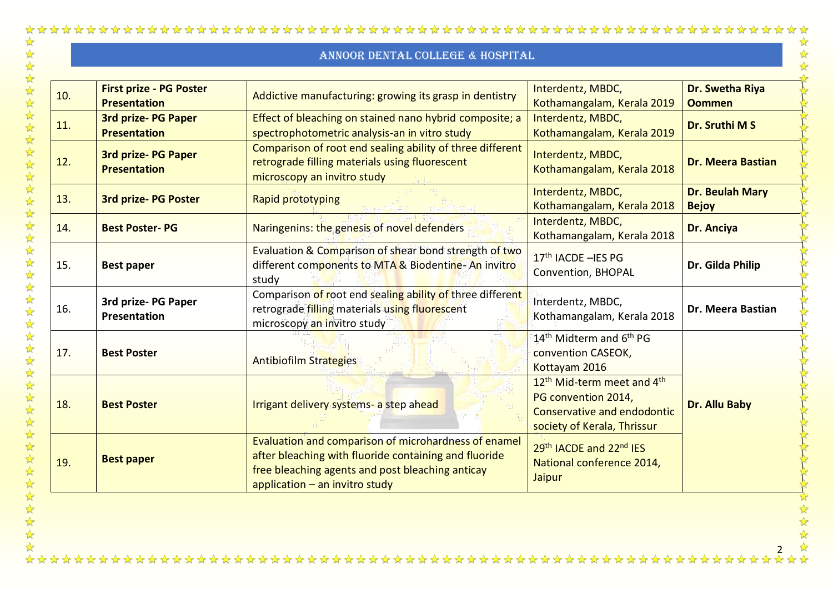$\frac{1}{2}$ 

好好好好好好好好好好

 $\frac{1}{2}$ 公公

冷冷

外外

经公  $\frac{1}{2}$ 

好好好好好好好好好好

 $\frac{1}{2}$ 

| 10. | <b>First prize - PG Poster</b><br><b>Presentation</b> | Addictive manufacturing: growing its grasp in dentistry                                                                                                                                               | Interdentz, MBDC,<br>Kothamangalam, Kerala 2019                                                                                         | Dr. Swetha Riya<br><b>Oommen</b> |
|-----|-------------------------------------------------------|-------------------------------------------------------------------------------------------------------------------------------------------------------------------------------------------------------|-----------------------------------------------------------------------------------------------------------------------------------------|----------------------------------|
| 11. | <b>3rd prize-PG Paper</b><br><b>Presentation</b>      | Effect of bleaching on stained nano hybrid composite; a<br>spectrophotometric analysis-an in vitro study                                                                                              | Interdentz, MBDC,<br>Kothamangalam, Kerala 2019                                                                                         | Dr. Sruthi M S                   |
| 12. | <b>3rd prize-PG Paper</b><br><b>Presentation</b>      | Comparison of root end sealing ability of three different<br>retrograde filling materials using fluorescent<br>microscopy an invitro study                                                            | Interdentz, MBDC,<br>Kothamangalam, Kerala 2018                                                                                         | <b>Dr. Meera Bastian</b>         |
| 13. | <b>3rd prize-PG Poster</b>                            | Rapid prototyping                                                                                                                                                                                     | Interdentz, MBDC,<br>Kothamangalam, Kerala 2018                                                                                         | Dr. Beulah Mary<br><b>Bejoy</b>  |
| 14. | <b>Best Poster-PG</b>                                 | Naringenins: the genesis of novel defenders                                                                                                                                                           | Interdentz, MBDC,<br>Kothamangalam, Kerala 2018                                                                                         | Dr. Anciya                       |
| 15. | <b>Best paper</b>                                     | Evaluation & Comparison of shear bond strength of two<br>different components to MTA & Biodentine-An invitro<br>study                                                                                 | 17 <sup>th</sup> IACDE - IES PG<br>Convention, BHOPAL                                                                                   | Dr. Gilda Philip                 |
| 16. | 3rd prize-PG Paper<br>Presentation                    | Comparison of root end sealing ability of three different<br>retrograde filling materials using fluorescent<br>microscopy an invitro study                                                            | Interdentz, MBDC,<br>Kothamangalam, Kerala 2018                                                                                         | Dr. Meera Bastian                |
| 17. | <b>Best Poster</b>                                    | Antibiofilm Strategies                                                                                                                                                                                | 14 <sup>th</sup> Midterm and 6 <sup>th</sup> PG<br>convention CASEOK,<br>Kottayam 2016                                                  |                                  |
| 18. | <b>Best Poster</b>                                    | Irrigant delivery systems- a step ahead                                                                                                                                                               | 12 <sup>th</sup> Mid-term meet and 4 <sup>th</sup><br>PG convention 2014,<br>Conservative and endodontic<br>society of Kerala, Thrissur | <b>Dr. Allu Baby</b>             |
| 19. | <b>Best paper</b>                                     | Evaluation and comparison of microhardness of enamel<br>after bleaching with fluoride containing and fluoride<br>free bleaching agents and post bleaching anticay<br>application $-$ an invitro study | 29th IACDE and 22nd IES<br>National conference 2014,<br>Jaipur                                                                          |                                  |

 $\frac{1}{2}$ 2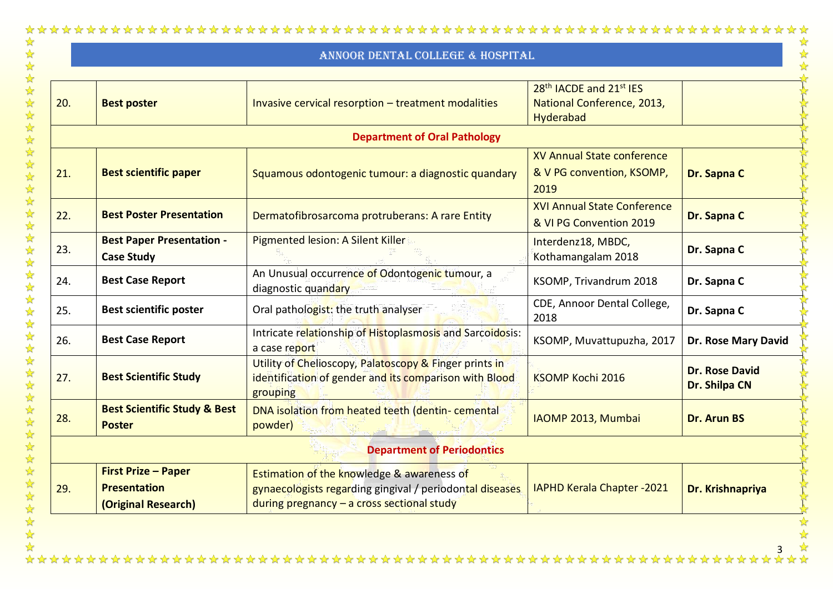|     |                                                                          | ANNOOR DENTAL COLLEGE & HOSPITAL                                                                                                                                |                                                                                            |                                        |
|-----|--------------------------------------------------------------------------|-----------------------------------------------------------------------------------------------------------------------------------------------------------------|--------------------------------------------------------------------------------------------|----------------------------------------|
| 20. | <b>Best poster</b>                                                       | Invasive cervical resorption - treatment modalities                                                                                                             | 28 <sup>th</sup> IACDE and 21 <sup>st</sup> IES<br>National Conference, 2013,<br>Hyderabad |                                        |
|     |                                                                          | <b>Department of Oral Pathology</b>                                                                                                                             |                                                                                            |                                        |
| 21. | <b>Best scientific paper</b>                                             | Squamous odontogenic tumour: a diagnostic quandary                                                                                                              | XV Annual State conference<br>& V PG convention, KSOMP,<br>2019                            | Dr. Sapna C                            |
| 22. | <b>Best Poster Presentation</b>                                          | Dermatofibrosarcoma protruberans: A rare Entity                                                                                                                 | <b>XVI Annual State Conference</b><br>& VI PG Convention 2019                              | Dr. Sapna C                            |
| 23. | <b>Best Paper Presentation -</b><br><b>Case Study</b>                    | Pigmented lesion: A Silent Killer                                                                                                                               | Interdenz18, MBDC,<br>Kothamangalam 2018                                                   | Dr. Sapna C                            |
| 24. | <b>Best Case Report</b>                                                  | An Unusual occurrence of Odontogenic tumour, a<br>diagnostic quandary                                                                                           | KSOMP, Trivandrum 2018                                                                     | Dr. Sapna C                            |
| 25. | <b>Best scientific poster</b>                                            | Oral pathologist: the truth analyser                                                                                                                            | CDE, Annoor Dental College,<br>2018                                                        | Dr. Sapna C                            |
| 26. | <b>Best Case Report</b>                                                  | Intricate relationship of Histoplasmosis and Sarcoidosis:<br>a case report                                                                                      | KSOMP, Muvattupuzha, 2017                                                                  | Dr. Rose Mary David                    |
| 27. | <b>Best Scientific Study</b>                                             | Utility of Chelioscopy, Palatoscopy & Finger prints in<br>identification of gender and its comparison with Blood<br>grouping                                    | <b>KSOMP Kochi 2016</b>                                                                    | <b>Dr. Rose David</b><br>Dr. Shilpa CN |
| 28. | <b>Best Scientific Study &amp; Best</b><br><b>Poster</b>                 | DNA isolation from heated teeth (dentin- cemental<br>powder)                                                                                                    | IAOMP 2013, Mumbai                                                                         | <b>Dr. Arun BS</b>                     |
|     |                                                                          | <b>Department of Periodontics</b>                                                                                                                               |                                                                                            |                                        |
| 29. | <b>First Prize - Paper</b><br><b>Presentation</b><br>(Original Research) | <b>Estimation of the knowledge &amp; awareness of</b><br>gynaecologists regarding gingival / periodontal diseases<br>during pregnancy - a cross sectional study | IAPHD Kerala Chapter - 2021                                                                | Dr. Krishnapriya                       |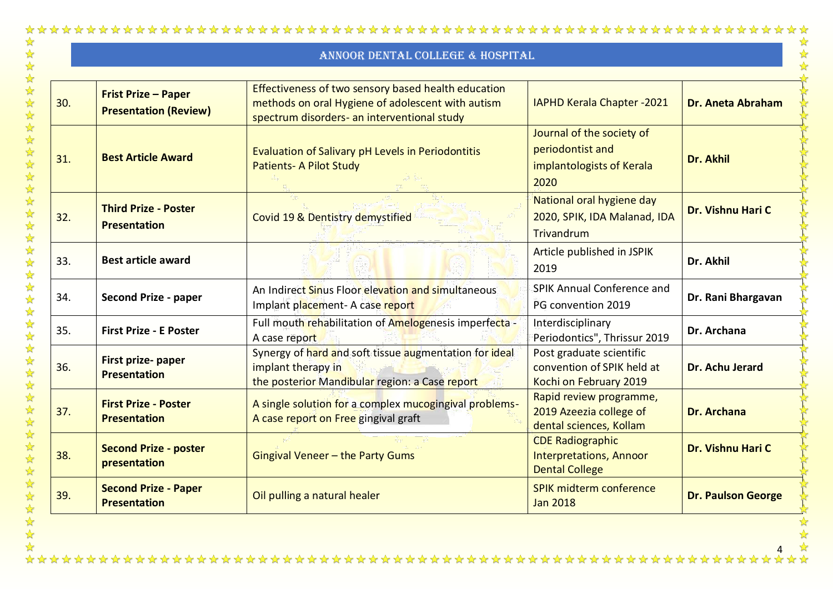# 公外以外

|     | ANNOOR DENTAL COLLEGE & HOSPITAL                           |                                                                                                                                                         |                                                                                    |                           |
|-----|------------------------------------------------------------|---------------------------------------------------------------------------------------------------------------------------------------------------------|------------------------------------------------------------------------------------|---------------------------|
| 30. | <b>Frist Prize - Paper</b><br><b>Presentation (Review)</b> | Effectiveness of two sensory based health education<br>methods on oral Hygiene of adolescent with autism<br>spectrum disorders- an interventional study | <b>IAPHD Kerala Chapter -2021</b>                                                  | <b>Dr. Aneta Abraham</b>  |
| 31. | <b>Best Article Award</b>                                  | Evaluation of Salivary pH Levels in Periodontitis<br><b>Patients- A Pilot Study</b>                                                                     | Journal of the society of<br>periodontist and<br>implantologists of Kerala<br>2020 | Dr. Akhil                 |
| 32. | <b>Third Prize - Poster</b><br><b>Presentation</b>         | Covid 19 & Dentistry demystified                                                                                                                        | National oral hygiene day<br>2020, SPIK, IDA Malanad, IDA<br>Trivandrum            | Dr. Vishnu Hari C         |
| 33. | <b>Best article award</b>                                  |                                                                                                                                                         | Article published in JSPIK<br>2019                                                 | Dr. Akhil                 |
| 34. | <b>Second Prize - paper</b>                                | An Indirect Sinus Floor elevation and simultaneous<br>Implant placement- A case report                                                                  | SPIK Annual Conference and<br>PG convention 2019                                   | Dr. Rani Bhargavan        |
| 35. | <b>First Prize - E Poster</b>                              | Full mouth rehabilitation of Amelogenesis imperfecta -<br>A case report                                                                                 | Interdisciplinary<br>Periodontics", Thrissur 2019                                  | Dr. Archana               |
| 36. | First prize- paper<br><b>Presentation</b>                  | Synergy of hard and soft tissue augmentation for ideal<br>implant therapy in<br>the posterior Mandibular region: a Case report                          | Post graduate scientific<br>convention of SPIK held at<br>Kochi on February 2019   | Dr. Achu Jerard           |
| 37. | <b>First Prize - Poster</b><br><b>Presentation</b>         | A single solution for a complex mucogingival problems-<br>A case report on Free gingival graft                                                          | Rapid review programme,<br>2019 Azeezia college of<br>dental sciences, Kollam      | <b>Dr. Archana</b>        |
| 38. | <b>Second Prize - poster</b><br>presentation               | Gingival Veneer - the Party Gums                                                                                                                        | <b>CDE Radiographic</b><br><b>Interpretations, Annoor</b><br><b>Dental College</b> | Dr. Vishnu Hari C         |
| 39. | <b>Second Prize - Paper</b><br><b>Presentation</b>         | Oil pulling a natural healer                                                                                                                            | SPIK midterm conference<br><b>Jan 2018</b>                                         | <b>Dr. Paulson George</b> |

华华华华华华华华华华华华

琴琴琴琴琴琴琴

经收收收收收收收收收收收

 $\frac{1}{2}$  $\frac{1}{\sqrt{2}}$ 

4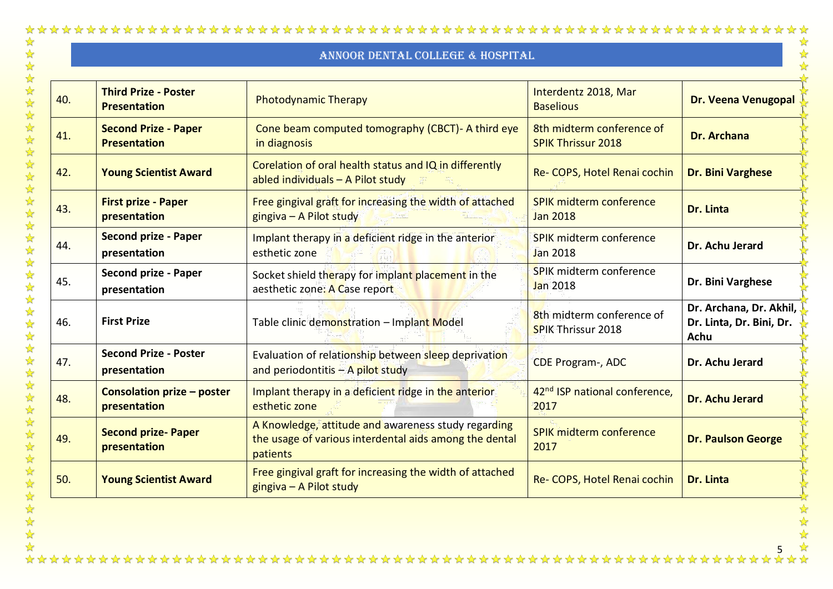|     |                                                    | ANNOOR DENTAL COLLEGE & HOSPITAL                                                                                          |                                                        |                                                                    |
|-----|----------------------------------------------------|---------------------------------------------------------------------------------------------------------------------------|--------------------------------------------------------|--------------------------------------------------------------------|
| 40. | <b>Third Prize - Poster</b><br><b>Presentation</b> | <b>Photodynamic Therapy</b>                                                                                               | Interdentz 2018, Mar<br><b>Baselious</b>               | Dr. Veena Venugopal                                                |
| 41. | <b>Second Prize - Paper</b><br><b>Presentation</b> | Cone beam computed tomography (CBCT) - A third eye<br>in diagnosis                                                        | 8th midterm conference of<br><b>SPIK Thrissur 2018</b> | <b>Dr. Archana</b>                                                 |
| 42. | <b>Young Scientist Award</b>                       | Corelation of oral health status and IQ in differently<br>abled individuals - A Pilot study                               | Re- COPS, Hotel Renai cochin                           | <b>Dr. Bini Varghese</b>                                           |
| 43. | <b>First prize - Paper</b><br>presentation         | Free gingival graft for increasing the width of attached<br>gingiva - A Pilot study                                       | SPIK midterm conference<br><b>Jan 2018</b>             | Dr. Linta                                                          |
| 44. | <b>Second prize - Paper</b><br>presentation        | Implant therapy in a deficient ridge in the anterior<br>esthetic zone                                                     | <b>SPIK midterm conference</b><br><b>Jan 2018</b>      | Dr. Achu Jerard                                                    |
| 45. | <b>Second prize - Paper</b><br>presentation        | Socket shield therapy for implant placement in the<br>aesthetic zone: A Case report                                       | SPIK midterm conference<br><b>Jan 2018</b>             | Dr. Bini Varghese                                                  |
| 46. | <b>First Prize</b>                                 | Table clinic demonstration - Implant Model                                                                                | 8th midterm conference of<br><b>SPIK Thrissur 2018</b> | Dr. Archana, Dr. Akhil,<br>Dr. Linta, Dr. Bini, Dr.<br><b>Achu</b> |
| 47. | <b>Second Prize - Poster</b><br>presentation       | Evaluation of relationship between sleep deprivation<br>and periodontitis $-$ A pilot study                               | CDE Program-, ADC                                      | Dr. Achu Jerard                                                    |
| 48. | <b>Consolation prize - poster</b><br>presentation  | Implant therapy in a deficient ridge in the anterior<br>esthetic zone                                                     | 42 <sup>nd</sup> ISP national conference,<br>2017      | Dr. Achu Jerard                                                    |
| 49. | <b>Second prize-Paper</b><br>presentation          | A Knowledge, attitude and awareness study regarding<br>the usage of various interdental aids among the dental<br>patients | <b>SPIK midterm conference</b><br>2017                 | <b>Dr. Paulson George</b>                                          |
| 50. | <b>Young Scientist Award</b>                       | Free gingival graft for increasing the width of attached<br>gingiva - A Pilot study                                       | Re- COPS, Hotel Renai cochin                           | Dr. Linta                                                          |

**你好好好好好好好好好好好好好好好好好好好好好好好** 

 $\frac{1}{\sqrt{2}}$ 5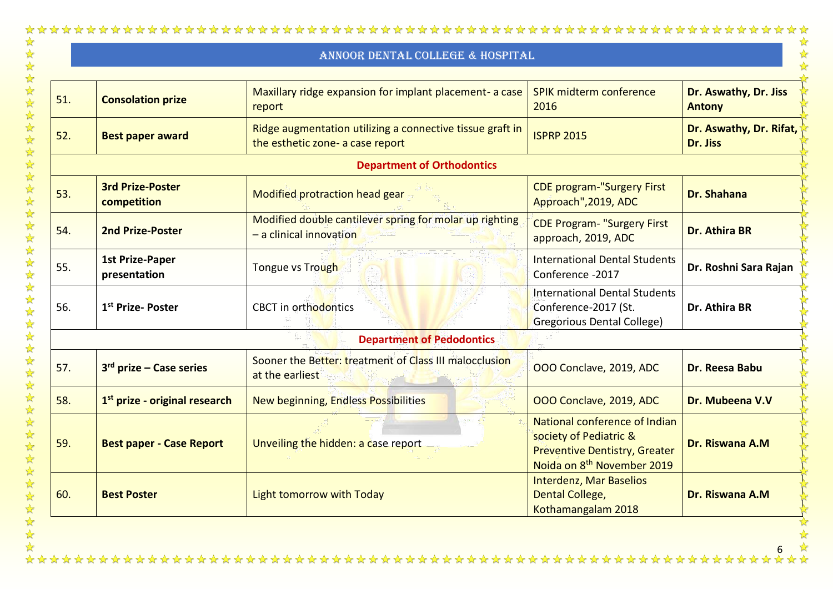|     |                                           | ANNOOR DENTAL COLLEGE & HOSPITAL                                                              |                                                                                                                                           |                                        |
|-----|-------------------------------------------|-----------------------------------------------------------------------------------------------|-------------------------------------------------------------------------------------------------------------------------------------------|----------------------------------------|
| 51. | <b>Consolation prize</b>                  | Maxillary ridge expansion for implant placement- a case<br>report                             | SPIK midterm conference<br>2016                                                                                                           | Dr. Aswathy, Dr. Jiss<br><b>Antony</b> |
| 52. | <b>Best paper award</b>                   | Ridge augmentation utilizing a connective tissue graft in<br>the esthetic zone- a case report | <b>ISPRP 2015</b>                                                                                                                         | Dr. Aswathy, Dr. Rifat,<br>Dr. Jiss    |
|     |                                           | <b>Department of Orthodontics</b>                                                             |                                                                                                                                           |                                        |
| 53. | <b>3rd Prize-Poster</b><br>competition    | Modified protraction head gear                                                                | <b>CDE program-"Surgery First</b><br>Approach", 2019, ADC                                                                                 | <b>Dr. Shahana</b>                     |
| 54. | <b>2nd Prize-Poster</b>                   | Modified double cantilever spring for molar up righting<br>- a clinical innovation            | <b>CDE Program- "Surgery First</b><br>approach, 2019, ADC                                                                                 | <b>Dr. Athira BR</b>                   |
| 55. | <b>1st Prize-Paper</b><br>presentation    | Tongue vs Trough                                                                              | <b>International Dental Students</b><br>Conference -2017                                                                                  | Dr. Roshni Sara Rajan                  |
| 56. | 1 <sup>st</sup> Prize-Poster              | <b>CBCT</b> in orthodontics                                                                   | <b>International Dental Students</b><br>Conference-2017 (St.<br>Gregorious Dental College)                                                | Dr. Athira BR                          |
|     |                                           | <b>Department of Pedodontics</b>                                                              |                                                                                                                                           |                                        |
| 57. | $3rd$ prize – Case series                 | Sooner the Better: treatment of Class III malocclusion<br>at the earliest                     | OOO Conclave, 2019, ADC                                                                                                                   | Dr. Reesa Babu                         |
| 58. | 1 <sup>st</sup> prize - original research | <b>New beginning, Endless Possibilities</b>                                                   | OOO Conclave, 2019, ADC                                                                                                                   | Dr. Mubeena V.V                        |
| 59. | <b>Best paper - Case Report</b>           | Unveiling the hidden: a case report                                                           | National conference of Indian<br>society of Pediatric &<br><b>Preventive Dentistry, Greater</b><br>Noida on 8 <sup>th</sup> November 2019 | Dr. Riswana A.M                        |
| 60. | <b>Best Poster</b>                        | Light tomorrow with Today                                                                     | <b>Interdenz, Mar Baselios</b><br>Dental College,<br>Kothamangalam 2018                                                                   | Dr. Riswana A.M                        |

6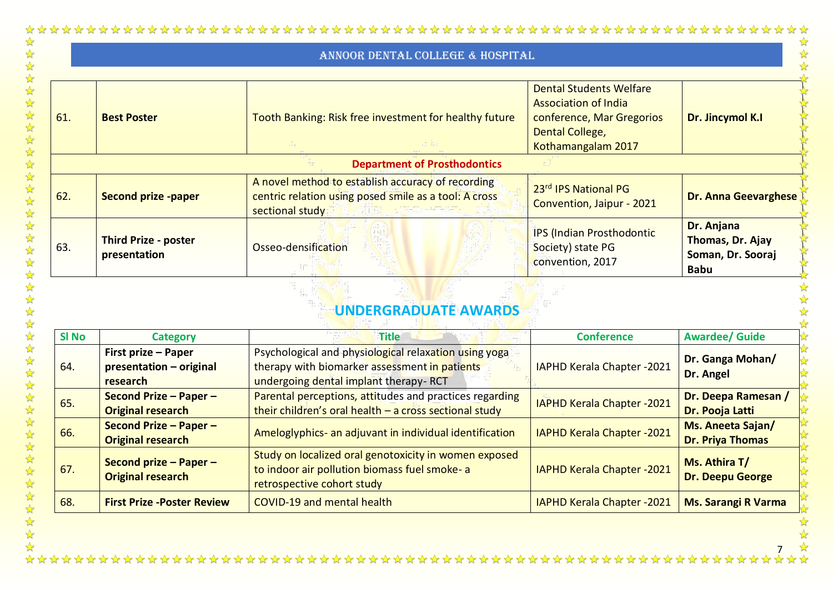公外以外

外外外外外外外

公公公公

外外外外外外外外

|              |                                                            | ANNOOR DENTAL COLLEGE & HOSPITAL                                                                                                                |                                                                                                                                     |                                                                    |
|--------------|------------------------------------------------------------|-------------------------------------------------------------------------------------------------------------------------------------------------|-------------------------------------------------------------------------------------------------------------------------------------|--------------------------------------------------------------------|
| 61.          | <b>Best Poster</b>                                         | Tooth Banking: Risk free investment for healthy future                                                                                          | <b>Dental Students Welfare</b><br><b>Association of India</b><br>conference, Mar Gregorios<br>Dental College,<br>Kothamangalam 2017 | Dr. Jincymol K.I                                                   |
|              |                                                            | <b>Department of Prosthodontics</b>                                                                                                             |                                                                                                                                     |                                                                    |
| 62.          | <b>Second prize -paper</b>                                 | A novel method to establish accuracy of recording<br>centric relation using posed smile as a tool: A cross<br>sectional study                   | 23rd IPS National PG<br>Convention, Jaipur - 2021                                                                                   | <b>Dr. Anna Geevarghese</b>                                        |
| 63.          | <b>Third Prize - poster</b><br>presentation                | Osseo-densification                                                                                                                             | <b>IPS (Indian Prosthodontic</b><br>Society) state PG<br>convention, 2017                                                           | Dr. Anjana<br>Thomas, Dr. Ajay<br>Soman, Dr. Sooraj<br><b>Babu</b> |
|              |                                                            | <b>UNDERGRADUATE AWARDS</b>                                                                                                                     |                                                                                                                                     |                                                                    |
| <b>SI No</b> | <b>Category</b>                                            | <b>Title</b>                                                                                                                                    | <b>Conference</b>                                                                                                                   | <b>Awardee/ Guide</b>                                              |
| 64.          | First prize - Paper<br>presentation - original<br>research | Psychological and physiological relaxation using yoga<br>therapy with biomarker assessment in patients<br>undergoing dental implant therapy-RCT | IAPHD Kerala Chapter -2021                                                                                                          | Dr. Ganga Mohan/<br>Dr. Angel                                      |
| 65.          | Second Prize - Paper -<br><b>Original research</b>         | Parental perceptions, attitudes and practices regarding<br>their children's oral health $-$ a cross sectional study                             | <b>IAPHD Kerala Chapter -2021</b>                                                                                                   | Dr. Deepa Ramesan /<br>Dr. Pooja Latti                             |
| 66.          | Second Prize - Paper -<br><b>Original research</b>         | Ameloglyphics- an adjuvant in individual identification                                                                                         | IAPHD Kerala Chapter -2021                                                                                                          | Ms. Aneeta Sajan/<br><b>Dr. Priya Thomas</b>                       |
| 67.          | Second prize - Paper -<br><b>Original research</b>         | Study on localized oral genotoxicity in women exposed<br>to indoor air pollution biomass fuel smoke- a<br>retrospective cohort study            | IAPHD Kerala Chapter - 2021                                                                                                         | Ms. Athira T/<br><b>Dr. Deepu George</b>                           |
| 68.          | <b>First Prize - Poster Review</b>                         | COVID-19 and mental health                                                                                                                      | IAPHD Kerala Chapter -2021                                                                                                          | <b>Ms. Sarangi R Varma</b>                                         |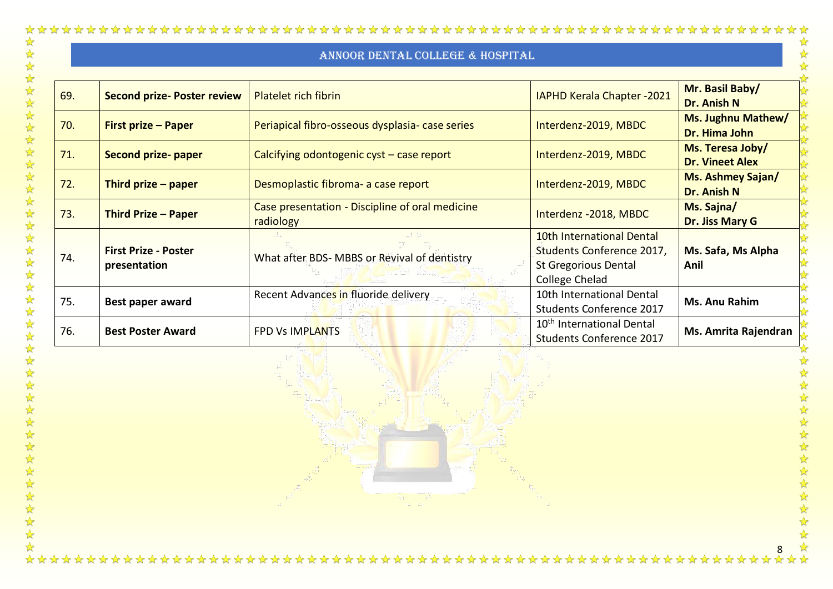| 69. | <b>Second prize- Poster review</b>          | <b>Platelet rich fibrin</b>                                  | <b>IAPHD Kerala Chapter -2021</b>                                                                       | Mr. Basil Baby/<br>Dr. Anish N             |
|-----|---------------------------------------------|--------------------------------------------------------------|---------------------------------------------------------------------------------------------------------|--------------------------------------------|
| 70. | First prize - Paper                         | Periapical fibro-osseous dysplasia- case series              | Interdenz-2019, MBDC                                                                                    | <b>Ms. Jughnu Mathew/</b><br>Dr. Hima John |
| 71. | <b>Second prize-paper</b>                   | Calcifying odontogenic cyst - case report                    | Interdenz-2019, MBDC                                                                                    | Ms. Teresa Joby/<br><b>Dr. Vineet Alex</b> |
| 72. | Third prize $-$ paper                       | Desmoplastic fibroma- a case report                          | Interdenz-2019, MBDC                                                                                    | Ms. Ashmey Sajan/<br>Dr. Anish N           |
| 73. | <b>Third Prize - Paper</b>                  | Case presentation - Discipline of oral medicine<br>radiology | Interdenz - 2018, MBDC                                                                                  | Ms. Sajna/<br>Dr. Jiss Mary G              |
| 74. | <b>First Prize - Poster</b><br>presentation | What after BDS- MBBS or Revival of dentistry                 | 10th International Dental<br>Students Conference 2017,<br><b>St Gregorious Dental</b><br>College Chelad | Ms. Safa, Ms Alpha<br>Anil                 |
| 75. | Best paper award                            | Recent Advances in fluoride delivery                         | 10th International Dental<br><b>Students Conference 2017</b>                                            | Ms. Anu Rahim                              |
| 76. | <b>Best Poster Award</b>                    | <b>FPD Vs IMPLANTS</b>                                       | 10 <sup>th</sup> International Dental<br>Students Conference 2017                                       | Ms. Amrita Rajendran                       |

公女女女女女女女女女女女

 $\frac{1}{2}$ 

 $\leftrightarrow$ 

 $\frac{8}{2}$